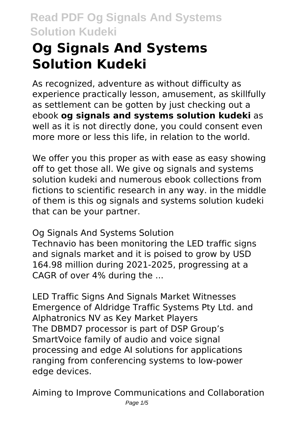# **Og Signals And Systems Solution Kudeki**

As recognized, adventure as without difficulty as experience practically lesson, amusement, as skillfully as settlement can be gotten by just checking out a ebook **og signals and systems solution kudeki** as well as it is not directly done, you could consent even more more or less this life, in relation to the world.

We offer you this proper as with ease as easy showing off to get those all. We give og signals and systems solution kudeki and numerous ebook collections from fictions to scientific research in any way. in the middle of them is this og signals and systems solution kudeki that can be your partner.

Og Signals And Systems Solution

Technavio has been monitoring the LED traffic signs and signals market and it is poised to grow by USD 164.98 million during 2021-2025, progressing at a CAGR of over 4% during the ...

LED Traffic Signs And Signals Market Witnesses Emergence of Aldridge Traffic Systems Pty Ltd. and Alphatronics NV as Key Market Players The DBMD7 processor is part of DSP Group's SmartVoice family of audio and voice signal processing and edge AI solutions for applications ranging from conferencing systems to low-power edge devices.

Aiming to Improve Communications and Collaboration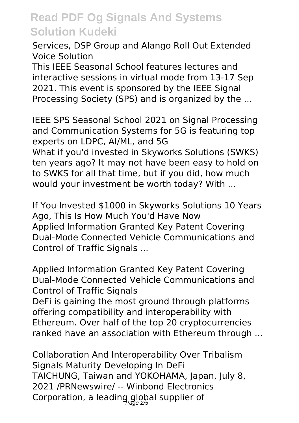Services, DSP Group and Alango Roll Out Extended Voice Solution

This IEEE Seasonal School features lectures and interactive sessions in virtual mode from 13-17 Sep 2021. This event is sponsored by the IEEE Signal Processing Society (SPS) and is organized by the ...

IEEE SPS Seasonal School 2021 on Signal Processing and Communication Systems for 5G is featuring top experts on LDPC, AI/ML, and 5G What if you'd invested in Skyworks Solutions (SWKS) ten years ago? It may not have been easy to hold on to SWKS for all that time, but if you did, how much would your investment be worth today? With ...

If You Invested \$1000 in Skyworks Solutions 10 Years Ago, This Is How Much You'd Have Now Applied Information Granted Key Patent Covering Dual-Mode Connected Vehicle Communications and Control of Traffic Signals ...

Applied Information Granted Key Patent Covering Dual-Mode Connected Vehicle Communications and Control of Traffic Signals

DeFi is gaining the most ground through platforms offering compatibility and interoperability with Ethereum. Over half of the top 20 cryptocurrencies ranked have an association with Ethereum through ...

Collaboration And Interoperability Over Tribalism Signals Maturity Developing In DeFi TAICHUNG, Taiwan and YOKOHAMA, Japan, July 8, 2021 /PRNewswire/ -- Winbond Electronics Corporation, a leading global supplier of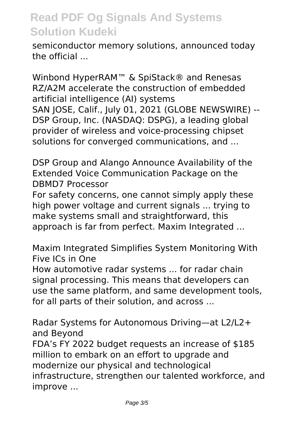semiconductor memory solutions, announced today the official ...

Winbond HyperRAM™ & SpiStack® and Renesas RZ/A2M accelerate the construction of embedded artificial intelligence (AI) systems SAN JOSE, Calif., July 01, 2021 (GLOBE NEWSWIRE) -- DSP Group, Inc. (NASDAQ: DSPG), a leading global provider of wireless and voice-processing chipset solutions for converged communications, and ...

DSP Group and Alango Announce Availability of the Extended Voice Communication Package on the DBMD7 Processor

For safety concerns, one cannot simply apply these high power voltage and current signals ... trying to make systems small and straightforward, this approach is far from perfect. Maxim Integrated ...

Maxim Integrated Simplifies System Monitoring With Five ICs in One

How automotive radar systems ... for radar chain signal processing. This means that developers can use the same platform, and same development tools, for all parts of their solution, and across ...

Radar Systems for Autonomous Driving—at L2/L2+ and Beyond

FDA's FY 2022 budget requests an increase of \$185 million to embark on an effort to upgrade and modernize our physical and technological infrastructure, strengthen our talented workforce, and improve ...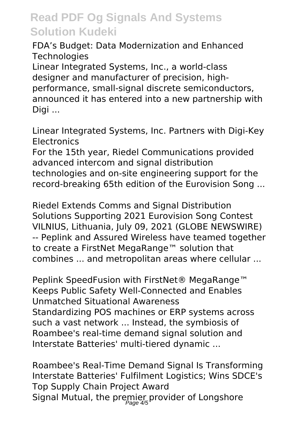FDA's Budget: Data Modernization and Enhanced **Technologies** 

Linear Integrated Systems, Inc., a world-class designer and manufacturer of precision, highperformance, small-signal discrete semiconductors, announced it has entered into a new partnership with Digi ...

Linear Integrated Systems, Inc. Partners with Digi-Key **Electronics** 

For the 15th year, Riedel Communications provided advanced intercom and signal distribution technologies and on-site engineering support for the record-breaking 65th edition of the Eurovision Song ...

Riedel Extends Comms and Signal Distribution Solutions Supporting 2021 Eurovision Song Contest VILNIUS, Lithuania, July 09, 2021 (GLOBE NEWSWIRE) -- Peplink and Assured Wireless have teamed together to create a FirstNet MegaRange™ solution that combines ... and metropolitan areas where cellular ...

Peplink SpeedFusion with FirstNet® MegaRange™ Keeps Public Safety Well-Connected and Enables Unmatched Situational Awareness Standardizing POS machines or ERP systems across such a vast network ... Instead, the symbiosis of Roambee's real-time demand signal solution and Interstate Batteries' multi-tiered dynamic ...

Roambee's Real-Time Demand Signal Is Transforming Interstate Batteries' Fulfilment Logistics; Wins SDCE's Top Supply Chain Project Award Signal Mutual, the premier provider of Longshore